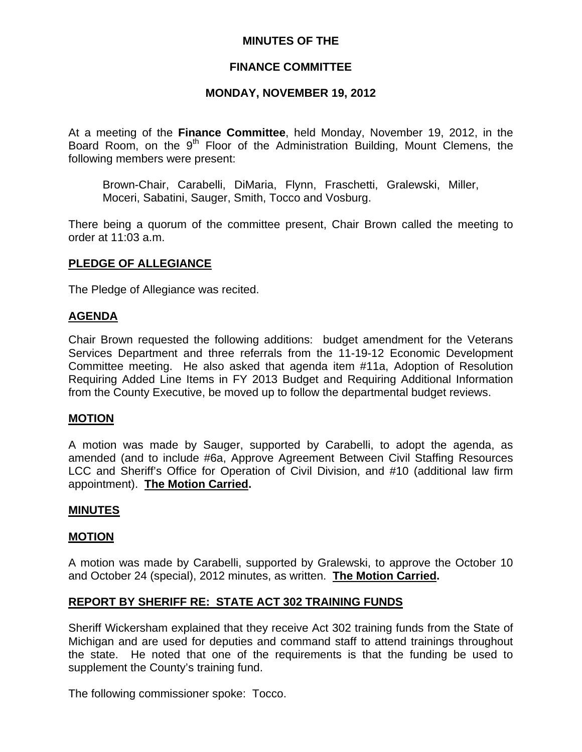# **MINUTES OF THE**

# **FINANCE COMMITTEE**

### **MONDAY, NOVEMBER 19, 2012**

At a meeting of the **Finance Committee**, held Monday, November 19, 2012, in the Board Room, on the 9<sup>th</sup> Floor of the Administration Building, Mount Clemens, the following members were present:

Brown-Chair, Carabelli, DiMaria, Flynn, Fraschetti, Gralewski, Miller, Moceri, Sabatini, Sauger, Smith, Tocco and Vosburg.

There being a quorum of the committee present, Chair Brown called the meeting to order at 11:03 a.m.

#### **PLEDGE OF ALLEGIANCE**

The Pledge of Allegiance was recited.

#### **AGENDA**

Chair Brown requested the following additions: budget amendment for the Veterans Services Department and three referrals from the 11-19-12 Economic Development Committee meeting. He also asked that agenda item #11a, Adoption of Resolution Requiring Added Line Items in FY 2013 Budget and Requiring Additional Information from the County Executive, be moved up to follow the departmental budget reviews.

#### **MOTION**

A motion was made by Sauger, supported by Carabelli, to adopt the agenda, as amended (and to include #6a, Approve Agreement Between Civil Staffing Resources LCC and Sheriff's Office for Operation of Civil Division, and #10 (additional law firm appointment). **The Motion Carried.** 

#### **MINUTES**

#### **MOTION**

A motion was made by Carabelli, supported by Gralewski, to approve the October 10 and October 24 (special), 2012 minutes, as written. **The Motion Carried.** 

# **REPORT BY SHERIFF RE: STATE ACT 302 TRAINING FUNDS**

Sheriff Wickersham explained that they receive Act 302 training funds from the State of Michigan and are used for deputies and command staff to attend trainings throughout the state. He noted that one of the requirements is that the funding be used to supplement the County's training fund.

The following commissioner spoke: Tocco.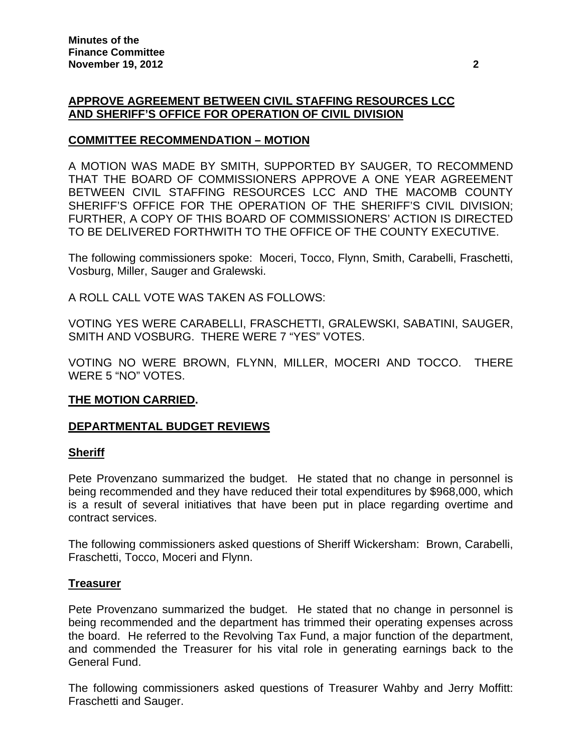# **APPROVE AGREEMENT BETWEEN CIVIL STAFFING RESOURCES LCC AND SHERIFF'S OFFICE FOR OPERATION OF CIVIL DIVISION**

# **COMMITTEE RECOMMENDATION – MOTION**

A MOTION WAS MADE BY SMITH, SUPPORTED BY SAUGER, TO RECOMMEND THAT THE BOARD OF COMMISSIONERS APPROVE A ONE YEAR AGREEMENT BETWEEN CIVIL STAFFING RESOURCES LCC AND THE MACOMB COUNTY SHERIFF'S OFFICE FOR THE OPERATION OF THE SHERIFF'S CIVIL DIVISION; FURTHER, A COPY OF THIS BOARD OF COMMISSIONERS' ACTION IS DIRECTED TO BE DELIVERED FORTHWITH TO THE OFFICE OF THE COUNTY EXECUTIVE.

The following commissioners spoke: Moceri, Tocco, Flynn, Smith, Carabelli, Fraschetti, Vosburg, Miller, Sauger and Gralewski.

A ROLL CALL VOTE WAS TAKEN AS FOLLOWS:

VOTING YES WERE CARABELLI, FRASCHETTI, GRALEWSKI, SABATINI, SAUGER, SMITH AND VOSBURG. THERE WERE 7 "YES" VOTES.

VOTING NO WERE BROWN, FLYNN, MILLER, MOCERI AND TOCCO. THERE WERE 5 "NO" VOTES.

#### **THE MOTION CARRIED.**

# **DEPARTMENTAL BUDGET REVIEWS**

#### **Sheriff**

Pete Provenzano summarized the budget. He stated that no change in personnel is being recommended and they have reduced their total expenditures by \$968,000, which is a result of several initiatives that have been put in place regarding overtime and contract services.

The following commissioners asked questions of Sheriff Wickersham: Brown, Carabelli, Fraschetti, Tocco, Moceri and Flynn.

#### **Treasurer**

Pete Provenzano summarized the budget. He stated that no change in personnel is being recommended and the department has trimmed their operating expenses across the board. He referred to the Revolving Tax Fund, a major function of the department, and commended the Treasurer for his vital role in generating earnings back to the General Fund.

The following commissioners asked questions of Treasurer Wahby and Jerry Moffitt: Fraschetti and Sauger.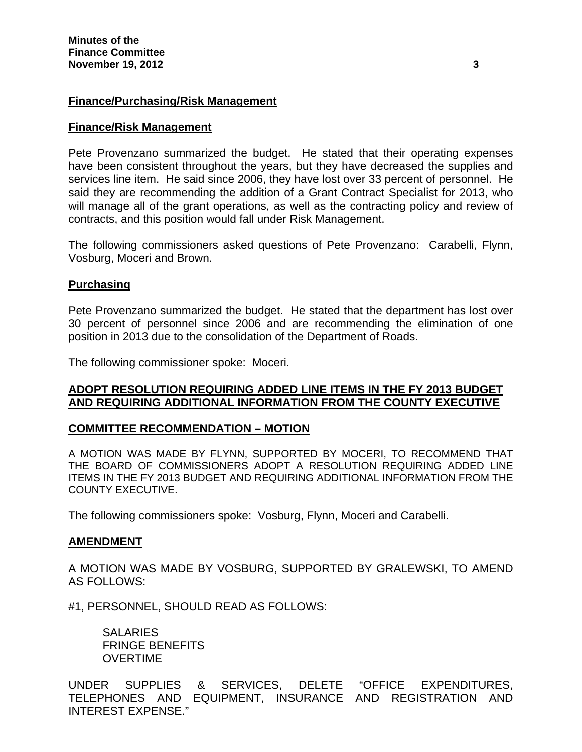### **Finance/Purchasing/Risk Management**

#### **Finance/Risk Management**

Pete Provenzano summarized the budget. He stated that their operating expenses have been consistent throughout the years, but they have decreased the supplies and services line item. He said since 2006, they have lost over 33 percent of personnel. He said they are recommending the addition of a Grant Contract Specialist for 2013, who will manage all of the grant operations, as well as the contracting policy and review of contracts, and this position would fall under Risk Management.

The following commissioners asked questions of Pete Provenzano: Carabelli, Flynn, Vosburg, Moceri and Brown.

#### **Purchasing**

Pete Provenzano summarized the budget. He stated that the department has lost over 30 percent of personnel since 2006 and are recommending the elimination of one position in 2013 due to the consolidation of the Department of Roads.

The following commissioner spoke: Moceri.

#### **ADOPT RESOLUTION REQUIRING ADDED LINE ITEMS IN THE FY 2013 BUDGET AND REQUIRING ADDITIONAL INFORMATION FROM THE COUNTY EXECUTIVE**

#### **COMMITTEE RECOMMENDATION – MOTION**

A MOTION WAS MADE BY FLYNN, SUPPORTED BY MOCERI, TO RECOMMEND THAT THE BOARD OF COMMISSIONERS ADOPT A RESOLUTION REQUIRING ADDED LINE ITEMS IN THE FY 2013 BUDGET AND REQUIRING ADDITIONAL INFORMATION FROM THE COUNTY EXECUTIVE.

The following commissioners spoke: Vosburg, Flynn, Moceri and Carabelli.

#### **AMENDMENT**

A MOTION WAS MADE BY VOSBURG, SUPPORTED BY GRALEWSKI, TO AMEND AS FOLLOWS:

#1, PERSONNEL, SHOULD READ AS FOLLOWS:

**SALARIES**  FRINGE BENEFITS OVERTIME

UNDER SUPPLIES & SERVICES, DELETE "OFFICE EXPENDITURES, TELEPHONES AND EQUIPMENT, INSURANCE AND REGISTRATION AND INTEREST EXPENSE."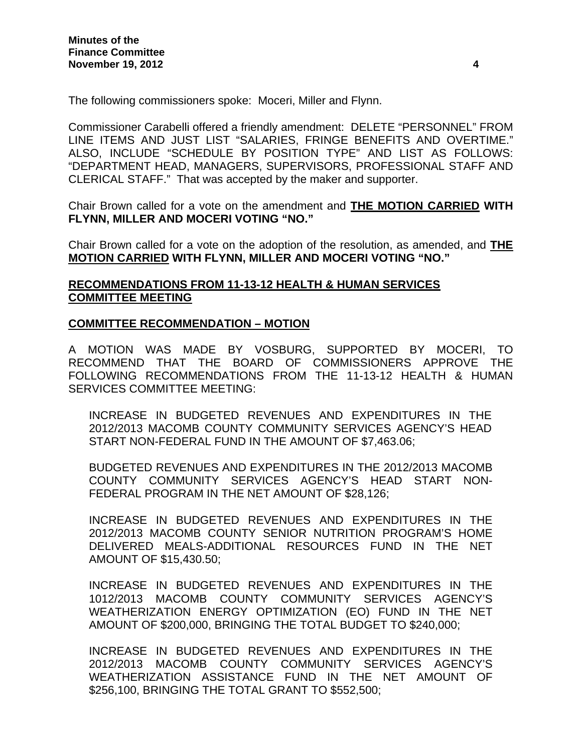The following commissioners spoke: Moceri, Miller and Flynn.

Commissioner Carabelli offered a friendly amendment: DELETE "PERSONNEL" FROM LINE ITEMS AND JUST LIST "SALARIES, FRINGE BENEFITS AND OVERTIME." ALSO, INCLUDE "SCHEDULE BY POSITION TYPE" AND LIST AS FOLLOWS: "DEPARTMENT HEAD, MANAGERS, SUPERVISORS, PROFESSIONAL STAFF AND CLERICAL STAFF." That was accepted by the maker and supporter.

Chair Brown called for a vote on the amendment and **THE MOTION CARRIED WITH FLYNN, MILLER AND MOCERI VOTING "NO."** 

Chair Brown called for a vote on the adoption of the resolution, as amended, and **THE MOTION CARRIED WITH FLYNN, MILLER AND MOCERI VOTING "NO."** 

# **RECOMMENDATIONS FROM 11-13-12 HEALTH & HUMAN SERVICES COMMITTEE MEETING**

### **COMMITTEE RECOMMENDATION – MOTION**

A MOTION WAS MADE BY VOSBURG, SUPPORTED BY MOCERI, TO RECOMMEND THAT THE BOARD OF COMMISSIONERS APPROVE THE FOLLOWING RECOMMENDATIONS FROM THE 11-13-12 HEALTH & HUMAN SERVICES COMMITTEE MEETING:

INCREASE IN BUDGETED REVENUES AND EXPENDITURES IN THE 2012/2013 MACOMB COUNTY COMMUNITY SERVICES AGENCY'S HEAD START NON-FEDERAL FUND IN THE AMOUNT OF \$7,463.06;

BUDGETED REVENUES AND EXPENDITURES IN THE 2012/2013 MACOMB COUNTY COMMUNITY SERVICES AGENCY'S HEAD START NON-FEDERAL PROGRAM IN THE NET AMOUNT OF \$28,126;

INCREASE IN BUDGETED REVENUES AND EXPENDITURES IN THE 2012/2013 MACOMB COUNTY SENIOR NUTRITION PROGRAM'S HOME DELIVERED MEALS-ADDITIONAL RESOURCES FUND IN THE NET AMOUNT OF \$15,430.50;

INCREASE IN BUDGETED REVENUES AND EXPENDITURES IN THE 1012/2013 MACOMB COUNTY COMMUNITY SERVICES AGENCY'S WEATHERIZATION ENERGY OPTIMIZATION (EO) FUND IN THE NET AMOUNT OF \$200,000, BRINGING THE TOTAL BUDGET TO \$240,000;

INCREASE IN BUDGETED REVENUES AND EXPENDITURES IN THE 2012/2013 MACOMB COUNTY COMMUNITY SERVICES AGENCY'S WEATHERIZATION ASSISTANCE FUND IN THE NET AMOUNT OF \$256,100, BRINGING THE TOTAL GRANT TO \$552,500;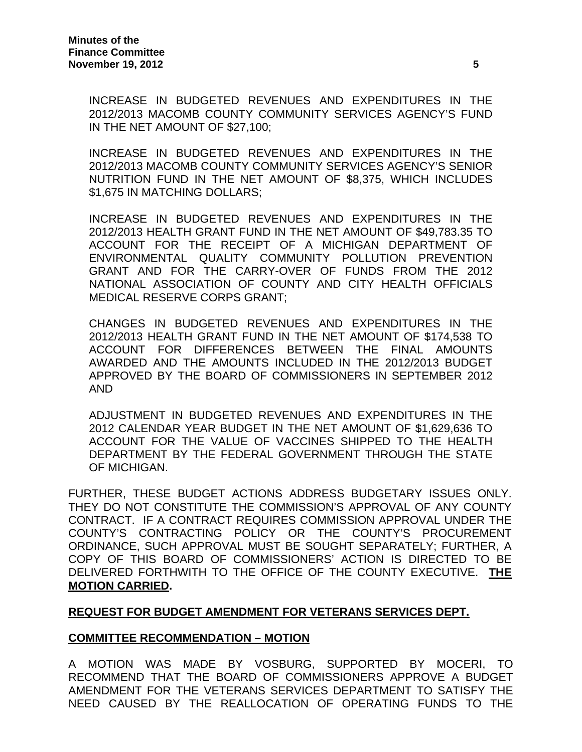INCREASE IN BUDGETED REVENUES AND EXPENDITURES IN THE 2012/2013 MACOMB COUNTY COMMUNITY SERVICES AGENCY'S FUND IN THE NET AMOUNT OF \$27,100;

INCREASE IN BUDGETED REVENUES AND EXPENDITURES IN THE 2012/2013 MACOMB COUNTY COMMUNITY SERVICES AGENCY'S SENIOR NUTRITION FUND IN THE NET AMOUNT OF \$8,375, WHICH INCLUDES \$1,675 IN MATCHING DOLLARS;

INCREASE IN BUDGETED REVENUES AND EXPENDITURES IN THE 2012/2013 HEALTH GRANT FUND IN THE NET AMOUNT OF \$49,783.35 TO ACCOUNT FOR THE RECEIPT OF A MICHIGAN DEPARTMENT OF ENVIRONMENTAL QUALITY COMMUNITY POLLUTION PREVENTION GRANT AND FOR THE CARRY-OVER OF FUNDS FROM THE 2012 NATIONAL ASSOCIATION OF COUNTY AND CITY HEALTH OFFICIALS MEDICAL RESERVE CORPS GRANT;

CHANGES IN BUDGETED REVENUES AND EXPENDITURES IN THE 2012/2013 HEALTH GRANT FUND IN THE NET AMOUNT OF \$174,538 TO ACCOUNT FOR DIFFERENCES BETWEEN THE FINAL AMOUNTS AWARDED AND THE AMOUNTS INCLUDED IN THE 2012/2013 BUDGET APPROVED BY THE BOARD OF COMMISSIONERS IN SEPTEMBER 2012 AND

ADJUSTMENT IN BUDGETED REVENUES AND EXPENDITURES IN THE 2012 CALENDAR YEAR BUDGET IN THE NET AMOUNT OF \$1,629,636 TO ACCOUNT FOR THE VALUE OF VACCINES SHIPPED TO THE HEALTH DEPARTMENT BY THE FEDERAL GOVERNMENT THROUGH THE STATE OF MICHIGAN.

FURTHER, THESE BUDGET ACTIONS ADDRESS BUDGETARY ISSUES ONLY. THEY DO NOT CONSTITUTE THE COMMISSION'S APPROVAL OF ANY COUNTY CONTRACT. IF A CONTRACT REQUIRES COMMISSION APPROVAL UNDER THE COUNTY'S CONTRACTING POLICY OR THE COUNTY'S PROCUREMENT ORDINANCE, SUCH APPROVAL MUST BE SOUGHT SEPARATELY; FURTHER, A COPY OF THIS BOARD OF COMMISSIONERS' ACTION IS DIRECTED TO BE DELIVERED FORTHWITH TO THE OFFICE OF THE COUNTY EXECUTIVE. **THE MOTION CARRIED.** 

# **REQUEST FOR BUDGET AMENDMENT FOR VETERANS SERVICES DEPT.**

# **COMMITTEE RECOMMENDATION – MOTION**

A MOTION WAS MADE BY VOSBURG, SUPPORTED BY MOCERI, TO RECOMMEND THAT THE BOARD OF COMMISSIONERS APPROVE A BUDGET AMENDMENT FOR THE VETERANS SERVICES DEPARTMENT TO SATISFY THE NEED CAUSED BY THE REALLOCATION OF OPERATING FUNDS TO THE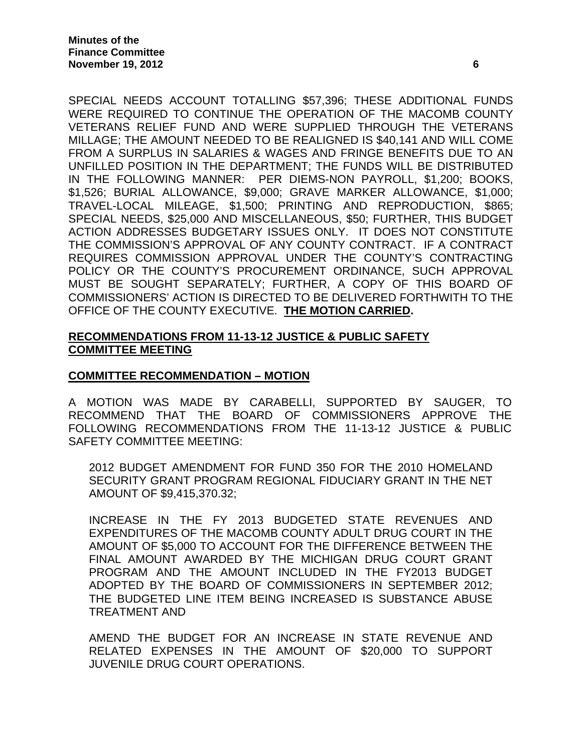SPECIAL NEEDS ACCOUNT TOTALLING \$57,396; THESE ADDITIONAL FUNDS WERE REQUIRED TO CONTINUE THE OPERATION OF THE MACOMB COUNTY VETERANS RELIEF FUND AND WERE SUPPLIED THROUGH THE VETERANS MILLAGE; THE AMOUNT NEEDED TO BE REALIGNED IS \$40,141 AND WILL COME FROM A SURPLUS IN SALARIES & WAGES AND FRINGE BENEFITS DUE TO AN UNFILLED POSITION IN THE DEPARTMENT; THE FUNDS WILL BE DISTRIBUTED IN THE FOLLOWING MANNER: PER DIEMS-NON PAYROLL, \$1,200; BOOKS, \$1,526; BURIAL ALLOWANCE, \$9,000; GRAVE MARKER ALLOWANCE, \$1,000; TRAVEL-LOCAL MILEAGE, \$1,500; PRINTING AND REPRODUCTION, \$865; SPECIAL NEEDS, \$25,000 AND MISCELLANEOUS, \$50; FURTHER, THIS BUDGET ACTION ADDRESSES BUDGETARY ISSUES ONLY. IT DOES NOT CONSTITUTE THE COMMISSION'S APPROVAL OF ANY COUNTY CONTRACT. IF A CONTRACT REQUIRES COMMISSION APPROVAL UNDER THE COUNTY'S CONTRACTING POLICY OR THE COUNTY'S PROCUREMENT ORDINANCE, SUCH APPROVAL MUST BE SOUGHT SEPARATELY; FURTHER, A COPY OF THIS BOARD OF COMMISSIONERS' ACTION IS DIRECTED TO BE DELIVERED FORTHWITH TO THE OFFICE OF THE COUNTY EXECUTIVE. **THE MOTION CARRIED.** 

# **RECOMMENDATIONS FROM 11-13-12 JUSTICE & PUBLIC SAFETY COMMITTEE MEETING**

# **COMMITTEE RECOMMENDATION – MOTION**

A MOTION WAS MADE BY CARABELLI, SUPPORTED BY SAUGER, TO RECOMMEND THAT THE BOARD OF COMMISSIONERS APPROVE THE FOLLOWING RECOMMENDATIONS FROM THE 11-13-12 JUSTICE & PUBLIC SAFETY COMMITTEE MEETING:

2012 BUDGET AMENDMENT FOR FUND 350 FOR THE 2010 HOMELAND SECURITY GRANT PROGRAM REGIONAL FIDUCIARY GRANT IN THE NET AMOUNT OF \$9,415,370.32;

INCREASE IN THE FY 2013 BUDGETED STATE REVENUES AND EXPENDITURES OF THE MACOMB COUNTY ADULT DRUG COURT IN THE AMOUNT OF \$5,000 TO ACCOUNT FOR THE DIFFERENCE BETWEEN THE FINAL AMOUNT AWARDED BY THE MICHIGAN DRUG COURT GRANT PROGRAM AND THE AMOUNT INCLUDED IN THE FY2013 BUDGET ADOPTED BY THE BOARD OF COMMISSIONERS IN SEPTEMBER 2012; THE BUDGETED LINE ITEM BEING INCREASED IS SUBSTANCE ABUSE TREATMENT AND

AMEND THE BUDGET FOR AN INCREASE IN STATE REVENUE AND RELATED EXPENSES IN THE AMOUNT OF \$20,000 TO SUPPORT JUVENILE DRUG COURT OPERATIONS.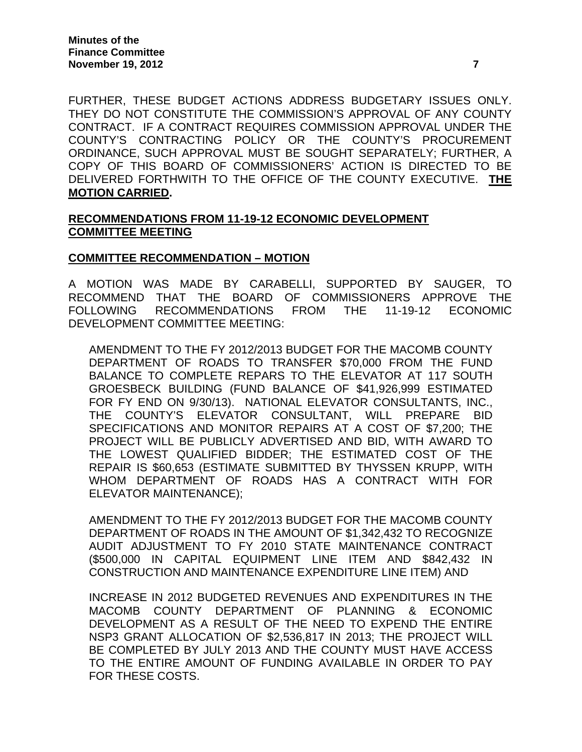FURTHER, THESE BUDGET ACTIONS ADDRESS BUDGETARY ISSUES ONLY. THEY DO NOT CONSTITUTE THE COMMISSION'S APPROVAL OF ANY COUNTY CONTRACT. IF A CONTRACT REQUIRES COMMISSION APPROVAL UNDER THE COUNTY'S CONTRACTING POLICY OR THE COUNTY'S PROCUREMENT ORDINANCE, SUCH APPROVAL MUST BE SOUGHT SEPARATELY; FURTHER, A COPY OF THIS BOARD OF COMMISSIONERS' ACTION IS DIRECTED TO BE DELIVERED FORTHWITH TO THE OFFICE OF THE COUNTY EXECUTIVE. **THE MOTION CARRIED.** 

### **RECOMMENDATIONS FROM 11-19-12 ECONOMIC DEVELOPMENT COMMITTEE MEETING**

### **COMMITTEE RECOMMENDATION – MOTION**

A MOTION WAS MADE BY CARABELLI, SUPPORTED BY SAUGER, TO RECOMMEND THAT THE BOARD OF COMMISSIONERS APPROVE THE FOLLOWING RECOMMENDATIONS FROM THE 11-19-12 ECONOMIC DEVELOPMENT COMMITTEE MEETING:

AMENDMENT TO THE FY 2012/2013 BUDGET FOR THE MACOMB COUNTY DEPARTMENT OF ROADS TO TRANSFER \$70,000 FROM THE FUND BALANCE TO COMPLETE REPARS TO THE ELEVATOR AT 117 SOUTH GROESBECK BUILDING (FUND BALANCE OF \$41,926,999 ESTIMATED FOR FY END ON 9/30/13). NATIONAL ELEVATOR CONSULTANTS, INC., THE COUNTY'S ELEVATOR CONSULTANT, WILL PREPARE BID SPECIFICATIONS AND MONITOR REPAIRS AT A COST OF \$7,200; THE PROJECT WILL BE PUBLICLY ADVERTISED AND BID, WITH AWARD TO THE LOWEST QUALIFIED BIDDER; THE ESTIMATED COST OF THE REPAIR IS \$60,653 (ESTIMATE SUBMITTED BY THYSSEN KRUPP, WITH WHOM DEPARTMENT OF ROADS HAS A CONTRACT WITH FOR ELEVATOR MAINTENANCE);

AMENDMENT TO THE FY 2012/2013 BUDGET FOR THE MACOMB COUNTY DEPARTMENT OF ROADS IN THE AMOUNT OF \$1,342,432 TO RECOGNIZE AUDIT ADJUSTMENT TO FY 2010 STATE MAINTENANCE CONTRACT (\$500,000 IN CAPITAL EQUIPMENT LINE ITEM AND \$842,432 IN CONSTRUCTION AND MAINTENANCE EXPENDITURE LINE ITEM) AND

INCREASE IN 2012 BUDGETED REVENUES AND EXPENDITURES IN THE MACOMB COUNTY DEPARTMENT OF PLANNING & ECONOMIC DEVELOPMENT AS A RESULT OF THE NEED TO EXPEND THE ENTIRE NSP3 GRANT ALLOCATION OF \$2,536,817 IN 2013; THE PROJECT WILL BE COMPLETED BY JULY 2013 AND THE COUNTY MUST HAVE ACCESS TO THE ENTIRE AMOUNT OF FUNDING AVAILABLE IN ORDER TO PAY FOR THESE COSTS.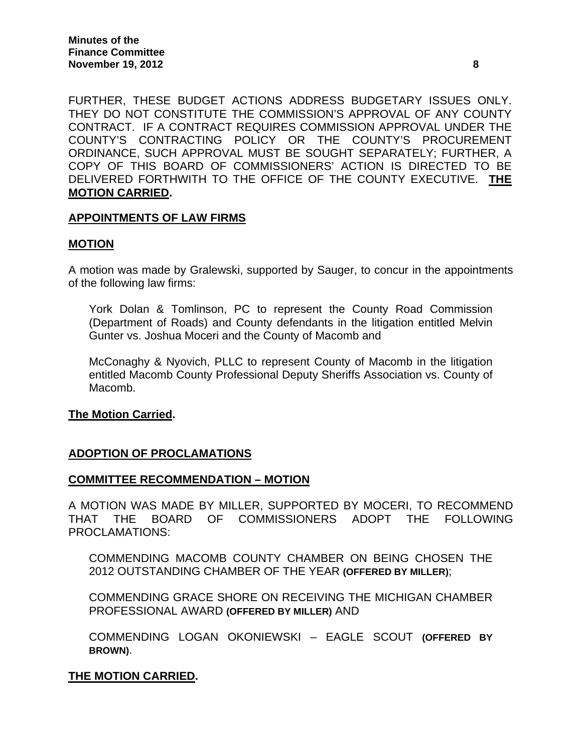FURTHER, THESE BUDGET ACTIONS ADDRESS BUDGETARY ISSUES ONLY. THEY DO NOT CONSTITUTE THE COMMISSION'S APPROVAL OF ANY COUNTY CONTRACT. IF A CONTRACT REQUIRES COMMISSION APPROVAL UNDER THE COUNTY'S CONTRACTING POLICY OR THE COUNTY'S PROCUREMENT ORDINANCE, SUCH APPROVAL MUST BE SOUGHT SEPARATELY; FURTHER, A COPY OF THIS BOARD OF COMMISSIONERS' ACTION IS DIRECTED TO BE DELIVERED FORTHWITH TO THE OFFICE OF THE COUNTY EXECUTIVE. **THE MOTION CARRIED.** 

### **APPOINTMENTS OF LAW FIRMS**

### **MOTION**

A motion was made by Gralewski, supported by Sauger, to concur in the appointments of the following law firms:

York Dolan & Tomlinson, PC to represent the County Road Commission (Department of Roads) and County defendants in the litigation entitled Melvin Gunter vs. Joshua Moceri and the County of Macomb and

McConaghy & Nyovich, PLLC to represent County of Macomb in the litigation entitled Macomb County Professional Deputy Sheriffs Association vs. County of Macomb.

**The Motion Carried.** 

# **ADOPTION OF PROCLAMATIONS**

# **COMMITTEE RECOMMENDATION – MOTION**

A MOTION WAS MADE BY MILLER, SUPPORTED BY MOCERI, TO RECOMMEND THAT THE BOARD OF COMMISSIONERS ADOPT THE FOLLOWING PROCLAMATIONS:

COMMENDING MACOMB COUNTY CHAMBER ON BEING CHOSEN THE 2012 OUTSTANDING CHAMBER OF THE YEAR **(OFFERED BY MILLER)**;

COMMENDING GRACE SHORE ON RECEIVING THE MICHIGAN CHAMBER PROFESSIONAL AWARD **(OFFERED BY MILLER)** AND

COMMENDING LOGAN OKONIEWSKI – EAGLE SCOUT **(OFFERED BY BROWN)**.

#### **THE MOTION CARRIED.**